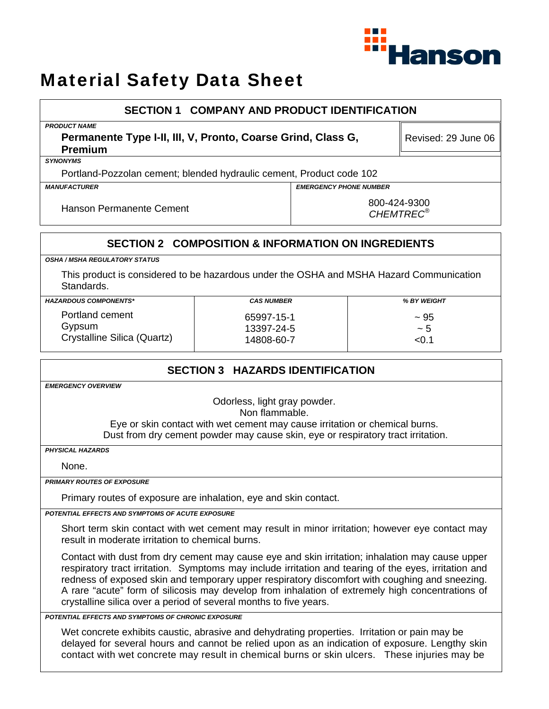

# Material Safety Data Sheet

### **SECTION 1 COMPANY AND PRODUCT IDENTIFICATION**

*PRODUCT NAME* 

**Permanente Type I-II, III, V, Pronto, Coarse Grind, Class G, Premium** 

Revised: 29 June 06

*SYNONYMS* 

Portland-Pozzolan cement; blended hydraulic cement, Product code 102

*MANUFACTURER EMERGENCY PHONE NUMBER* 

Hanson Permanente Cement 1990 and 1990 and 1990 and 1990 and 1990 and 1990 and 1990 and 1990 and 199

*CHEMTREC®*

### **SECTION 2 COMPOSITION & INFORMATION ON INGREDIENTS**

*OSHA / MSHA REGULATORY STATUS* 

This product is considered to be hazardous under the OSHA and MSHA Hazard Communication Standards.

| <b>HAZARDOUS COMPONENTS*</b> | <b>CAS NUMBER</b> | <b>% BY WEIGHT</b> |
|------------------------------|-------------------|--------------------|
| Portland cement              | 65997-15-1        | $~1$ 95            |
| Gypsum                       | 13397-24-5        | ~ 5                |
| Crystalline Silica (Quartz)  | 14808-60-7        | < 0.7              |

## **SECTION 3 HAZARDS IDENTIFICATION**

*EMERGENCY OVERVIEW* 

Odorless, light gray powder.

Non flammable.

Eye or skin contact with wet cement may cause irritation or chemical burns. Dust from dry cement powder may cause skin, eye or respiratory tract irritation.

*PHYSICAL HAZARDS* 

None.

*PRIMARY ROUTES OF EXPOSURE* 

Primary routes of exposure are inhalation, eye and skin contact.

*POTENTIAL EFFECTS AND SYMPTOMS OF ACUTE EXPOSURE* 

Short term skin contact with wet cement may result in minor irritation; however eye contact may result in moderate irritation to chemical burns.

Contact with dust from dry cement may cause eye and skin irritation; inhalation may cause upper respiratory tract irritation. Symptoms may include irritation and tearing of the eyes, irritation and redness of exposed skin and temporary upper respiratory discomfort with coughing and sneezing. A rare "acute" form of silicosis may develop from inhalation of extremely high concentrations of crystalline silica over a period of several months to five years.

*POTENTIAL EFFECTS AND SYMPTOMS OF CHRONIC EXPOSURE* 

Wet concrete exhibits caustic, abrasive and dehydrating properties. Irritation or pain may be delayed for several hours and cannot be relied upon as an indication of exposure. Lengthy skin contact with wet concrete may result in chemical burns or skin ulcers. These injuries may be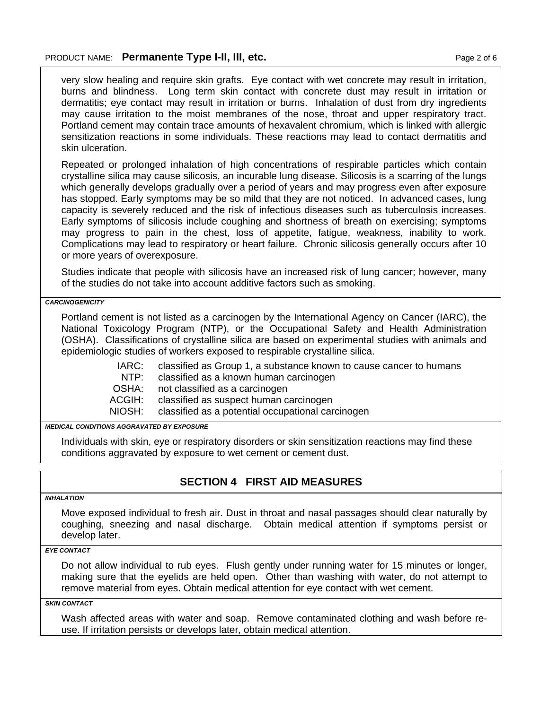very slow healing and require skin grafts. Eye contact with wet concrete may result in irritation, burns and blindness. Long term skin contact with concrete dust may result in irritation or dermatitis; eye contact may result in irritation or burns. Inhalation of dust from dry ingredients may cause irritation to the moist membranes of the nose, throat and upper respiratory tract. Portland cement may contain trace amounts of hexavalent chromium, which is linked with allergic sensitization reactions in some individuals. These reactions may lead to contact dermatitis and skin ulceration.

Repeated or prolonged inhalation of high concentrations of respirable particles which contain crystalline silica may cause silicosis, an incurable lung disease. Silicosis is a scarring of the lungs which generally develops gradually over a period of years and may progress even after exposure has stopped. Early symptoms may be so mild that they are not noticed. In advanced cases, lung capacity is severely reduced and the risk of infectious diseases such as tuberculosis increases. Early symptoms of silicosis include coughing and shortness of breath on exercising; symptoms may progress to pain in the chest, loss of appetite, fatigue, weakness, inability to work. Complications may lead to respiratory or heart failure. Chronic silicosis generally occurs after 10 or more years of overexposure.

Studies indicate that people with silicosis have an increased risk of lung cancer; however, many of the studies do not take into account additive factors such as smoking.

*CARCINOGENICITY* 

Portland cement is not listed as a carcinogen by the International Agency on Cancer (IARC), the National Toxicology Program (NTP), or the Occupational Safety and Health Administration (OSHA). Classifications of crystalline silica are based on experimental studies with animals and epidemiologic studies of workers exposed to respirable crystalline silica.

> IARC: NTP: classified as Group 1, a substance known to cause cancer to humans classified as a known human carcinogen

OSHA: not classified as a carcinogen

ACGIH: classified as suspect human carcinogen

NIOSH: classified as a potential occupational carcinogen

*MEDICAL CONDITIONS AGGRAVATED BY EXPOSURE*

Individuals with skin, eye or respiratory disorders or skin sensitization reactions may find these conditions aggravated by exposure to wet cement or cement dust.

#### **SECTION 4 FIRST AID MEASURES**

#### *INHALATION*

Move exposed individual to fresh air. Dust in throat and nasal passages should clear naturally by coughing, sneezing and nasal discharge. Obtain medical attention if symptoms persist or develop later.

#### *EYE CONTACT*

Do not allow individual to rub eyes. Flush gently under running water for 15 minutes or longer, making sure that the eyelids are held open. Other than washing with water, do not attempt to remove material from eyes. Obtain medical attention for eye contact with wet cement.

*SKIN CONTACT* 

Wash affected areas with water and soap. Remove contaminated clothing and wash before reuse. If irritation persists or develops later, obtain medical attention.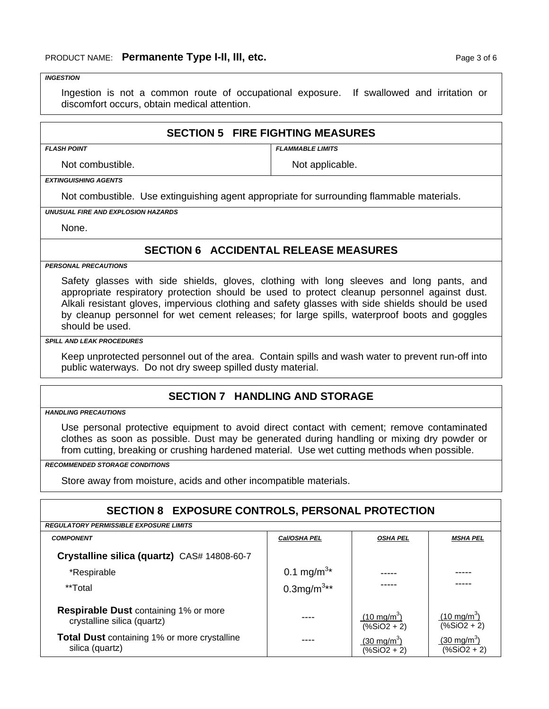#### *INGESTION*

Ingestion is not a common route of occupational exposure. If swallowed and irritation or discomfort occurs, obtain medical attention.

#### **SECTION 5 FIRE FIGHTING MEASURES**

*FLASH POINT FLAMMABLE LIMITS* 

Not combustible. Not applicable.

*EXTINGUISHING AGENTS* 

Not combustible. Use extinguishing agent appropriate for surrounding flammable materials.

*UNUSUAL FIRE AND EXPLOSION HAZARDS* 

None.

### **SECTION 6 ACCIDENTAL RELEASE MEASURES**

*PERSONAL PRECAUTIONS* 

Safety glasses with side shields, gloves, clothing with long sleeves and long pants, and appropriate respiratory protection should be used to protect cleanup personnel against dust. Alkali resistant gloves, impervious clothing and safety glasses with side shields should be used by cleanup personnel for wet cement releases; for large spills, waterproof boots and goggles should be used.

#### *SPILL AND LEAK PROCEDURES*

Keep unprotected personnel out of the area. Contain spills and wash water to prevent run-off into public waterways. Do not dry sweep spilled dusty material.

#### **SECTION 7 HANDLING AND STORAGE**

*HANDLING PRECAUTIONS* 

Use personal protective equipment to avoid direct contact with cement; remove contaminated clothes as soon as possible. Dust may be generated during handling or mixing dry powder or from cutting, breaking or crushing hardened material. Use wet cutting methods when possible.

*RECOMMENDED STORAGE CONDITIONS* 

Store away from moisture, acids and other incompatible materials.

#### **SECTION 8 EXPOSURE CONTROLS, PERSONAL PROTECTION**

| <b>REGULATORY PERMISSIBLE EXPOSURE LIMITS</b>                               |                           |                                      |                                      |
|-----------------------------------------------------------------------------|---------------------------|--------------------------------------|--------------------------------------|
| <b>COMPONENT</b>                                                            | Cal/OSHA PEL              | <b>OSHA PEL</b>                      | <b>MSHA PEL</b>                      |
| Crystalline silica (quartz) CAS# 14808-60-7                                 |                           |                                      |                                      |
| *Respirable                                                                 | 0.1 mg/m <sup>3*</sup>    |                                      |                                      |
| **Total                                                                     | $0.3$ mg/m <sup>3**</sup> |                                      |                                      |
| <b>Respirable Dust containing 1% or more</b><br>crystalline silica (quartz) |                           | $(10 \text{ mg/m}^3)$<br>$(% 2 + 2)$ | $(10 \text{ mg/m}^3)$<br>$(% 2 + 2)$ |
| <b>Total Dust</b> containing 1% or more crystalline<br>silica (quartz)      |                           | $(30 \text{ mg/m}^3)$<br>$(% 2 + 2)$ | $(30 \text{ mg/m}^3)$<br>$(%2 + 2)$  |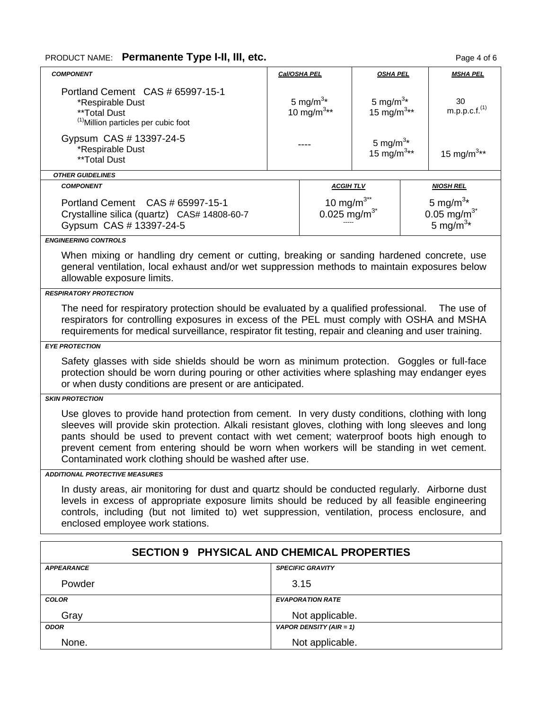## PRODUCT NAME: Permanente Type I-II, III, etc. **Page 4 of 6** and  $P$ age 4 of 6

| <b>COMPONENT</b>                                                                                                                                                                                                                                                                                                                                                                                                                                        |  | Cal/OSHA PEL                            | <b>OSHA PEL</b>                              | <b>MSHA PEL</b>                                                           |  |
|---------------------------------------------------------------------------------------------------------------------------------------------------------------------------------------------------------------------------------------------------------------------------------------------------------------------------------------------------------------------------------------------------------------------------------------------------------|--|-----------------------------------------|----------------------------------------------|---------------------------------------------------------------------------|--|
| Portland Cement CAS # 65997-15-1<br>*Respirable Dust<br>**Total Dust<br><sup>(1)</sup> Million particles per cubic foot                                                                                                                                                                                                                                                                                                                                 |  | 5 mg/m <sup>3*</sup><br>10 $mg/m^{3**}$ | 5 mg/m $3*$<br>15 mg/m <sup>3**</sup>        | 30<br>m.p.p.c.f. <sup>(1)</sup>                                           |  |
| Gypsum CAS # 13397-24-5<br>*Respirable Dust<br>**Total Dust                                                                                                                                                                                                                                                                                                                                                                                             |  |                                         | 5 mg/ $m^{3*}$<br>15 mg/m <sup>3**</sup>     | 15 mg/m <sup>3**</sup>                                                    |  |
| <b>OTHER GUIDELINES</b>                                                                                                                                                                                                                                                                                                                                                                                                                                 |  |                                         |                                              |                                                                           |  |
| <b>COMPONENT</b>                                                                                                                                                                                                                                                                                                                                                                                                                                        |  | <b>ACGIHTLV</b>                         |                                              | <b>NIOSH REL</b>                                                          |  |
| Portland Cement CAS # 65997-15-1<br>Crystalline silica (quartz) CAS# 14808-60-7<br>Gypsum CAS # 13397-24-5                                                                                                                                                                                                                                                                                                                                              |  |                                         | 10 mg/m $3^{**}$<br>0.025 mg/m <sup>3*</sup> | 5 mg/m <sup>3*</sup><br>$0.05$ mg/m <sup>3*</sup><br>5 mg/m <sup>3*</sup> |  |
| <b>ENGINEERING CONTROLS</b>                                                                                                                                                                                                                                                                                                                                                                                                                             |  |                                         |                                              |                                                                           |  |
| When mixing or handling dry cement or cutting, breaking or sanding hardened concrete, use<br>general ventilation, local exhaust and/or wet suppression methods to maintain exposures below<br>allowable exposure limits.                                                                                                                                                                                                                                |  |                                         |                                              |                                                                           |  |
| <b>RESPIRATORY PROTECTION</b>                                                                                                                                                                                                                                                                                                                                                                                                                           |  |                                         |                                              |                                                                           |  |
| The need for respiratory protection should be evaluated by a qualified professional.<br>respirators for controlling exposures in excess of the PEL must comply with OSHA and MSHA<br>requirements for medical surveillance, respirator fit testing, repair and cleaning and user training.                                                                                                                                                              |  |                                         |                                              | The use of                                                                |  |
| <b>EYE PROTECTION</b>                                                                                                                                                                                                                                                                                                                                                                                                                                   |  |                                         |                                              |                                                                           |  |
| Safety glasses with side shields should be worn as minimum protection. Goggles or full-face<br>protection should be worn during pouring or other activities where splashing may endanger eyes<br>or when dusty conditions are present or are anticipated.                                                                                                                                                                                               |  |                                         |                                              |                                                                           |  |
| <b>SKIN PROTECTION</b>                                                                                                                                                                                                                                                                                                                                                                                                                                  |  |                                         |                                              |                                                                           |  |
| Use gloves to provide hand protection from cement. In very dusty conditions, clothing with long<br>sleeves will provide skin protection. Alkali resistant gloves, clothing with long sleeves and long<br>pants should be used to prevent contact with wet cement; waterproof boots high enough to<br>prevent cement from entering should be worn when workers will be standing in wet cement.<br>Contaminated work clothing should be washed after use. |  |                                         |                                              |                                                                           |  |
| <b>ADDITIONAL PROTECTIVE MEASURES</b>                                                                                                                                                                                                                                                                                                                                                                                                                   |  |                                         |                                              |                                                                           |  |
| In dusty areas, air monitoring for dust and quartz should be conducted regularly. Airborne dust<br>levels in excess of appropriate exposure limits should be reduced by all feasible engineering<br>controls, including (but not limited to) wet suppression, ventilation, process enclosure, and<br>enclosed employee work stations.                                                                                                                   |  |                                         |                                              |                                                                           |  |

| SECTION 9 PHYSICAL AND CHEMICAL PROPERTIES |                         |  |
|--------------------------------------------|-------------------------|--|
| <b>APPEARANCE</b>                          | <b>SPECIFIC GRAVITY</b> |  |
| Powder                                     | 3.15                    |  |
| <b>COLOR</b>                               | <b>EVAPORATION RATE</b> |  |
| Gray                                       | Not applicable.         |  |
| <b>ODOR</b>                                | VAPOR DENSITY (AIR = 1) |  |
| None.                                      | Not applicable.         |  |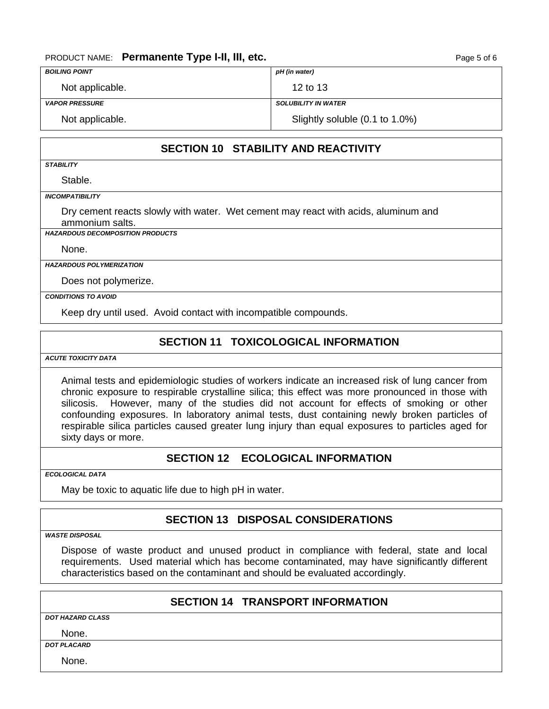#### PRODUCT NAME: **Permanente Type I-II, III, etc. PRODUCT NAME: Page 5 of 6**

| <b>BOILING POINT</b>  | pH (in water)                  |
|-----------------------|--------------------------------|
| Not applicable.       | 12 to 13                       |
| <b>VAPOR PRESSURE</b> | <b>SOLUBILITY IN WATER</b>     |
| Not applicable.       | Slightly soluble (0.1 to 1.0%) |

## **SECTION 10 STABILITY AND REACTIVITY**

*STABILITY* 

Stable.

*INCOMPATIBILITY* 

Dry cement reacts slowly with water. Wet cement may react with acids, aluminum and ammonium salts.

*HAZARDOUS DECOMPOSITION PRODUCTS* 

None.

*HAZARDOUS POLYMERIZATION* 

Does not polymerize.

*CONDITIONS TO AVOID* 

Keep dry until used. Avoid contact with incompatible compounds.

#### **SECTION 11 TOXICOLOGICAL INFORMATION**

*ACUTE TOXICITY DATA* 

Animal tests and epidemiologic studies of workers indicate an increased risk of lung cancer from chronic exposure to respirable crystalline silica; this effect was more pronounced in those with silicosis. However, many of the studies did not account for effects of smoking or other confounding exposures. In laboratory animal tests, dust containing newly broken particles of respirable silica particles caused greater lung injury than equal exposures to particles aged for sixty days or more.

## **SECTION 12 ECOLOGICAL INFORMATION**

*ECOLOGICAL DATA* 

May be toxic to aquatic life due to high pH in water.

## **SECTION 13 DISPOSAL CONSIDERATIONS**

*WASTE DISPOSAL* 

Dispose of waste product and unused product in compliance with federal, state and local requirements. Used material which has become contaminated, may have significantly different characteristics based on the contaminant and should be evaluated accordingly.

### **SECTION 14 TRANSPORT INFORMATION**

*DOT HAZARD CLASS*

None.

*DOT PLACARD* 

None.